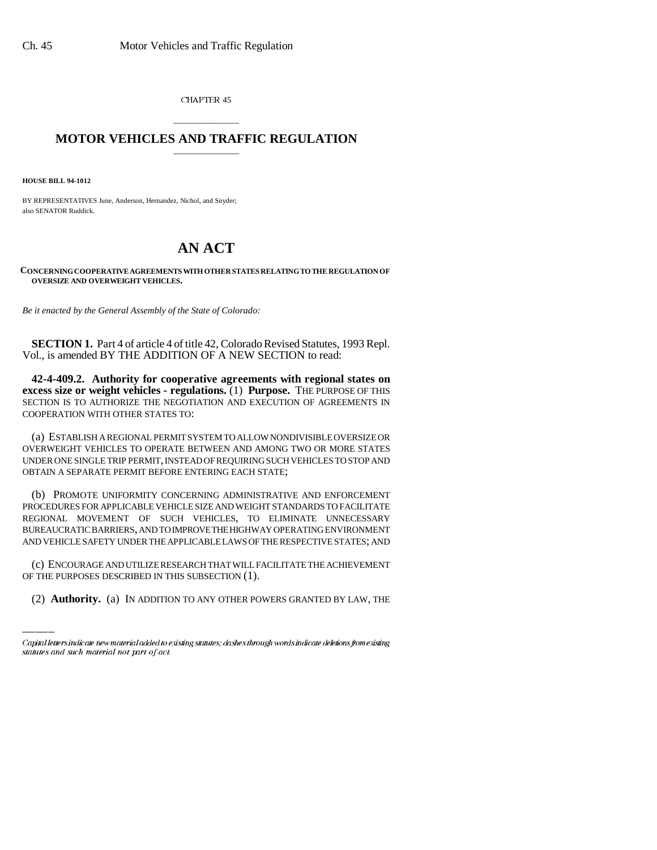CHAPTER 45

## \_\_\_\_\_\_\_\_\_\_\_\_\_\_\_ **MOTOR VEHICLES AND TRAFFIC REGULATION** \_\_\_\_\_\_\_\_\_\_\_\_\_\_\_

**HOUSE BILL 94-1012**

BY REPRESENTATIVES June, Anderson, Hernandez, Nichol, and Snyder; also SENATOR Ruddick.

## **AN ACT**

**CONCERNING COOPERATIVE AGREEMENTS WITH OTHER STATES RELATING TO THE REGULATION OF OVERSIZE AND OVERWEIGHT VEHICLES.**

*Be it enacted by the General Assembly of the State of Colorado:*

**SECTION 1.** Part 4 of article 4 of title 42, Colorado Revised Statutes, 1993 Repl. Vol., is amended BY THE ADDITION OF A NEW SECTION to read:

**42-4-409.2. Authority for cooperative agreements with regional states on excess size or weight vehicles - regulations.** (1) **Purpose.** THE PURPOSE OF THIS SECTION IS TO AUTHORIZE THE NEGOTIATION AND EXECUTION OF AGREEMENTS IN COOPERATION WITH OTHER STATES TO:

(a) ESTABLISH A REGIONAL PERMIT SYSTEM TO ALLOW NONDIVISIBLE OVERSIZE OR OVERWEIGHT VEHICLES TO OPERATE BETWEEN AND AMONG TWO OR MORE STATES UNDER ONE SINGLE TRIP PERMIT, INSTEAD OF REQUIRING SUCH VEHICLES TO STOP AND OBTAIN A SEPARATE PERMIT BEFORE ENTERING EACH STATE;

(b) PROMOTE UNIFORMITY CONCERNING ADMINISTRATIVE AND ENFORCEMENT PROCEDURES FOR APPLICABLE VEHICLE SIZE AND WEIGHT STANDARDS TO FACILITATE REGIONAL MOVEMENT OF SUCH VEHICLES, TO ELIMINATE UNNECESSARY BUREAUCRATIC BARRIERS, AND TO IMPROVE THE HIGHWAY OPERATING ENVIRONMENT AND VEHICLE SAFETY UNDER THE APPLICABLE LAWS OF THE RESPECTIVE STATES; AND

(c) ENCOURAGE AND UTILIZE RESEARCH THAT WILL FACILITATE THE ACHIEVEMENT OF THE PURPOSES DESCRIBED IN THIS SUBSECTION (1).

(2) **Authority.** (a) IN ADDITION TO ANY OTHER POWERS GRANTED BY LAW, THE

Capital letters indicate new material added to existing statutes; dashes through words indicate deletions from existing statutes and such material not part of act.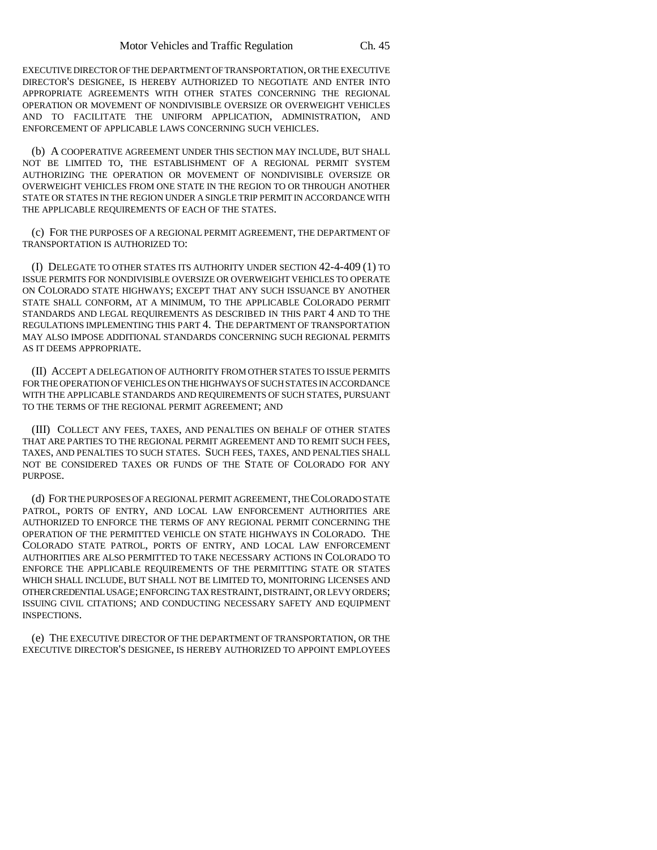EXECUTIVE DIRECTOR OF THE DEPARTMENT OF TRANSPORTATION, OR THE EXECUTIVE DIRECTOR'S DESIGNEE, IS HEREBY AUTHORIZED TO NEGOTIATE AND ENTER INTO APPROPRIATE AGREEMENTS WITH OTHER STATES CONCERNING THE REGIONAL OPERATION OR MOVEMENT OF NONDIVISIBLE OVERSIZE OR OVERWEIGHT VEHICLES AND TO FACILITATE THE UNIFORM APPLICATION, ADMINISTRATION, AND ENFORCEMENT OF APPLICABLE LAWS CONCERNING SUCH VEHICLES.

(b) A COOPERATIVE AGREEMENT UNDER THIS SECTION MAY INCLUDE, BUT SHALL NOT BE LIMITED TO, THE ESTABLISHMENT OF A REGIONAL PERMIT SYSTEM AUTHORIZING THE OPERATION OR MOVEMENT OF NONDIVISIBLE OVERSIZE OR OVERWEIGHT VEHICLES FROM ONE STATE IN THE REGION TO OR THROUGH ANOTHER STATE OR STATES IN THE REGION UNDER A SINGLE TRIP PERMIT IN ACCORDANCE WITH THE APPLICABLE REQUIREMENTS OF EACH OF THE STATES.

(c) FOR THE PURPOSES OF A REGIONAL PERMIT AGREEMENT, THE DEPARTMENT OF TRANSPORTATION IS AUTHORIZED TO:

(I) DELEGATE TO OTHER STATES ITS AUTHORITY UNDER SECTION 42-4-409 (1) TO ISSUE PERMITS FOR NONDIVISIBLE OVERSIZE OR OVERWEIGHT VEHICLES TO OPERATE ON COLORADO STATE HIGHWAYS; EXCEPT THAT ANY SUCH ISSUANCE BY ANOTHER STATE SHALL CONFORM, AT A MINIMUM, TO THE APPLICABLE COLORADO PERMIT STANDARDS AND LEGAL REQUIREMENTS AS DESCRIBED IN THIS PART 4 AND TO THE REGULATIONS IMPLEMENTING THIS PART 4. THE DEPARTMENT OF TRANSPORTATION MAY ALSO IMPOSE ADDITIONAL STANDARDS CONCERNING SUCH REGIONAL PERMITS AS IT DEEMS APPROPRIATE.

(II) ACCEPT A DELEGATION OF AUTHORITY FROM OTHER STATES TO ISSUE PERMITS FOR THE OPERATION OF VEHICLES ON THE HIGHWAYS OF SUCH STATES IN ACCORDANCE WITH THE APPLICABLE STANDARDS AND REQUIREMENTS OF SUCH STATES, PURSUANT TO THE TERMS OF THE REGIONAL PERMIT AGREEMENT; AND

(III) COLLECT ANY FEES, TAXES, AND PENALTIES ON BEHALF OF OTHER STATES THAT ARE PARTIES TO THE REGIONAL PERMIT AGREEMENT AND TO REMIT SUCH FEES, TAXES, AND PENALTIES TO SUCH STATES. SUCH FEES, TAXES, AND PENALTIES SHALL NOT BE CONSIDERED TAXES OR FUNDS OF THE STATE OF COLORADO FOR ANY PURPOSE.

(d) FOR THE PURPOSES OF A REGIONAL PERMIT AGREEMENT, THE COLORADO STATE PATROL, PORTS OF ENTRY, AND LOCAL LAW ENFORCEMENT AUTHORITIES ARE AUTHORIZED TO ENFORCE THE TERMS OF ANY REGIONAL PERMIT CONCERNING THE OPERATION OF THE PERMITTED VEHICLE ON STATE HIGHWAYS IN COLORADO. THE COLORADO STATE PATROL, PORTS OF ENTRY, AND LOCAL LAW ENFORCEMENT AUTHORITIES ARE ALSO PERMITTED TO TAKE NECESSARY ACTIONS IN COLORADO TO ENFORCE THE APPLICABLE REQUIREMENTS OF THE PERMITTING STATE OR STATES WHICH SHALL INCLUDE, BUT SHALL NOT BE LIMITED TO, MONITORING LICENSES AND OTHER CREDENTIAL USAGE; ENFORCING TAX RESTRAINT, DISTRAINT, OR LEVY ORDERS; ISSUING CIVIL CITATIONS; AND CONDUCTING NECESSARY SAFETY AND EQUIPMENT INSPECTIONS.

(e) THE EXECUTIVE DIRECTOR OF THE DEPARTMENT OF TRANSPORTATION, OR THE EXECUTIVE DIRECTOR'S DESIGNEE, IS HEREBY AUTHORIZED TO APPOINT EMPLOYEES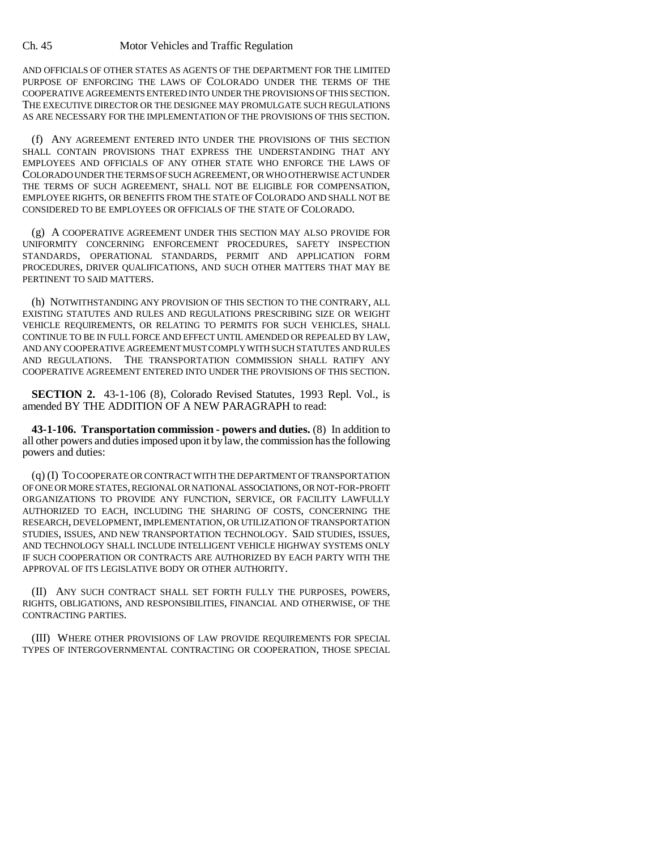## Ch. 45 Motor Vehicles and Traffic Regulation

AND OFFICIALS OF OTHER STATES AS AGENTS OF THE DEPARTMENT FOR THE LIMITED PURPOSE OF ENFORCING THE LAWS OF COLORADO UNDER THE TERMS OF THE COOPERATIVE AGREEMENTS ENTERED INTO UNDER THE PROVISIONS OF THIS SECTION. THE EXECUTIVE DIRECTOR OR THE DESIGNEE MAY PROMULGATE SUCH REGULATIONS AS ARE NECESSARY FOR THE IMPLEMENTATION OF THE PROVISIONS OF THIS SECTION.

(f) ANY AGREEMENT ENTERED INTO UNDER THE PROVISIONS OF THIS SECTION SHALL CONTAIN PROVISIONS THAT EXPRESS THE UNDERSTANDING THAT ANY EMPLOYEES AND OFFICIALS OF ANY OTHER STATE WHO ENFORCE THE LAWS OF COLORADO UNDER THE TERMS OF SUCH AGREEMENT, OR WHO OTHERWISE ACT UNDER THE TERMS OF SUCH AGREEMENT, SHALL NOT BE ELIGIBLE FOR COMPENSATION, EMPLOYEE RIGHTS, OR BENEFITS FROM THE STATE OF COLORADO AND SHALL NOT BE CONSIDERED TO BE EMPLOYEES OR OFFICIALS OF THE STATE OF COLORADO.

(g) A COOPERATIVE AGREEMENT UNDER THIS SECTION MAY ALSO PROVIDE FOR UNIFORMITY CONCERNING ENFORCEMENT PROCEDURES, SAFETY INSPECTION STANDARDS, OPERATIONAL STANDARDS, PERMIT AND APPLICATION FORM PROCEDURES, DRIVER QUALIFICATIONS, AND SUCH OTHER MATTERS THAT MAY BE PERTINENT TO SAID MATTERS.

(h) NOTWITHSTANDING ANY PROVISION OF THIS SECTION TO THE CONTRARY, ALL EXISTING STATUTES AND RULES AND REGULATIONS PRESCRIBING SIZE OR WEIGHT VEHICLE REQUIREMENTS, OR RELATING TO PERMITS FOR SUCH VEHICLES, SHALL CONTINUE TO BE IN FULL FORCE AND EFFECT UNTIL AMENDED OR REPEALED BY LAW, AND ANY COOPERATIVE AGREEMENT MUST COMPLY WITH SUCH STATUTES AND RULES AND REGULATIONS. THE TRANSPORTATION COMMISSION SHALL RATIFY ANY COOPERATIVE AGREEMENT ENTERED INTO UNDER THE PROVISIONS OF THIS SECTION.

**SECTION 2.** 43-1-106 (8), Colorado Revised Statutes, 1993 Repl. Vol., is amended BY THE ADDITION OF A NEW PARAGRAPH to read:

**43-1-106. Transportation commission - powers and duties.** (8) In addition to all other powers and duties imposed upon it by law, the commission has the following powers and duties:

(q) (I) TO COOPERATE OR CONTRACT WITH THE DEPARTMENT OF TRANSPORTATION OF ONE OR MORE STATES, REGIONAL OR NATIONAL ASSOCIATIONS, OR NOT-FOR-PROFIT ORGANIZATIONS TO PROVIDE ANY FUNCTION, SERVICE, OR FACILITY LAWFULLY AUTHORIZED TO EACH, INCLUDING THE SHARING OF COSTS, CONCERNING THE RESEARCH, DEVELOPMENT, IMPLEMENTATION, OR UTILIZATION OF TRANSPORTATION STUDIES, ISSUES, AND NEW TRANSPORTATION TECHNOLOGY. SAID STUDIES, ISSUES, AND TECHNOLOGY SHALL INCLUDE INTELLIGENT VEHICLE HIGHWAY SYSTEMS ONLY IF SUCH COOPERATION OR CONTRACTS ARE AUTHORIZED BY EACH PARTY WITH THE APPROVAL OF ITS LEGISLATIVE BODY OR OTHER AUTHORITY.

(II) ANY SUCH CONTRACT SHALL SET FORTH FULLY THE PURPOSES, POWERS, RIGHTS, OBLIGATIONS, AND RESPONSIBILITIES, FINANCIAL AND OTHERWISE, OF THE CONTRACTING PARTIES.

(III) WHERE OTHER PROVISIONS OF LAW PROVIDE REQUIREMENTS FOR SPECIAL TYPES OF INTERGOVERNMENTAL CONTRACTING OR COOPERATION, THOSE SPECIAL